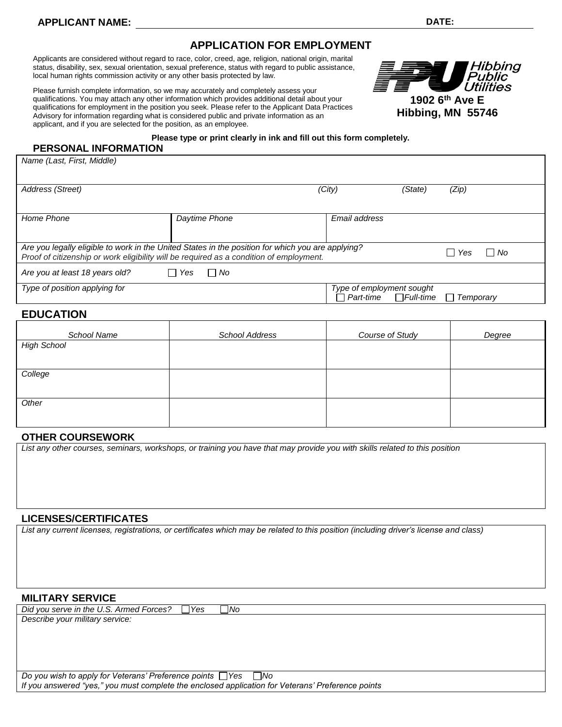# **APPLICATION FOR EMPLOYMENT**

Applicants are considered without regard to race, color, creed, age, religion, national origin, marital status, disability, sex, sexual orientation, sexual preference, status with regard to public assistance, local human rights commission activity or any other basis protected by law.

Please furnish complete information, so we may accurately and completely assess your qualifications. You may attach any other information which provides additional detail about your qualifications for employment in the position you seek. Please refer to the Applicant Data Practices Advisory for information regarding what is considered public and private information as an applicant, and if you are selected for the position, as an employee.



#### **Please type or print clearly in ink and fill out this form completely.**

**PERSONAL INFORMATION**

*Name (Last, First, Middle)*

| Address (Street)                                                                                                                                                                             |                                 | (City)                                                         | (State) | (Zip)                         |
|----------------------------------------------------------------------------------------------------------------------------------------------------------------------------------------------|---------------------------------|----------------------------------------------------------------|---------|-------------------------------|
|                                                                                                                                                                                              |                                 |                                                                |         |                               |
| Home Phone                                                                                                                                                                                   | Daytime Phone                   | Email address                                                  |         |                               |
|                                                                                                                                                                                              |                                 |                                                                |         |                               |
| Are you legally eligible to work in the United States in the position for which you are applying?<br>Proof of citizenship or work eligibility will be required as a condition of employment. |                                 |                                                                |         | l I No<br>Yes<br>$\mathsf{L}$ |
| Are you at least 18 years old?                                                                                                                                                               | l I No<br>Yes<br>$\blacksquare$ |                                                                |         |                               |
| Type of position applying for                                                                                                                                                                |                                 | Type of employment sought<br>$\Box$ Part-time $\Box$ Full-time |         | Temporary<br>$\mathsf{L}$     |
|                                                                                                                                                                                              |                                 |                                                                |         |                               |

## **EDUCATION**

| School Name        | <b>School Address</b> | Course of Study | Degree |
|--------------------|-----------------------|-----------------|--------|
| <b>High School</b> |                       |                 |        |
|                    |                       |                 |        |
| College            |                       |                 |        |
|                    |                       |                 |        |
| Other              |                       |                 |        |
|                    |                       |                 |        |

### **OTHER COURSEWORK**

*List any other courses, seminars, workshops, or training you have that may provide you with skills related to this position*

#### **LICENSES/CERTIFICATES**

*List any current licenses, registrations, or certificates which may be related to this position (including driver's license and class)*

### **MILITARY SERVICE**

*Did you serve in the U.S. Armed Forces?* □ Yes □ No

*Describe your military service:*

*Do you wish to apply for Veterans' Preference points* □ Yes □ No *If you answered "yes," you must complete the enclosed application for Veterans' Preference points*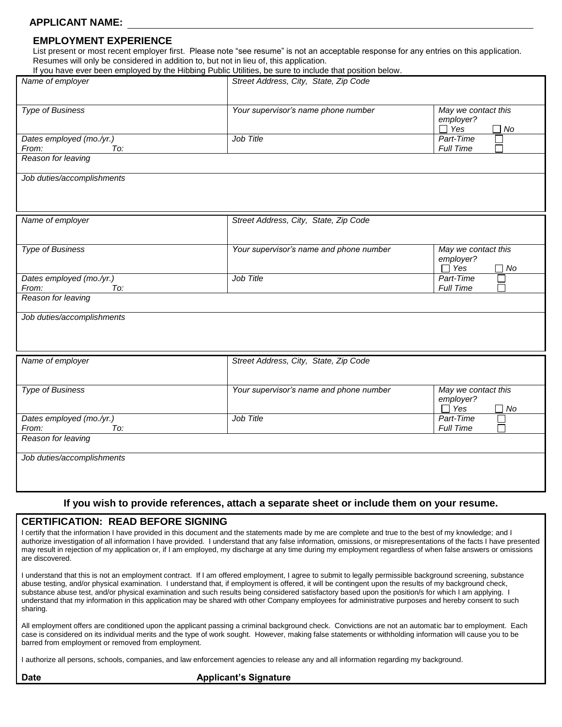# **APPLICANT NAME:**

### **EMPLOYMENT EXPERIENCE**

List present or most recent employer first. Please note "see resume" is not an acceptable response for any entries on this application. Resumes will only be considered in addition to, but not in lieu of, this application.

|                                          | If you have ever been employed by the Hibbing Public Utilities, be sure to include that position below. |                                                             |
|------------------------------------------|---------------------------------------------------------------------------------------------------------|-------------------------------------------------------------|
| Name of employer                         | Street Address, City, State, Zip Code                                                                   |                                                             |
| <b>Type of Business</b>                  | Your supervisor's name phone number                                                                     | May we contact this<br>employer?<br>$\Box$ Yes<br>∩ No      |
| Dates employed (mo./yr.)<br>To:<br>From: | Job Title                                                                                               | Part-Time<br>Full Time                                      |
| Reason for leaving                       |                                                                                                         |                                                             |
| Job duties/accomplishments               |                                                                                                         |                                                             |
| Name of employer                         | Street Address, City, State, Zip Code                                                                   |                                                             |
| <b>Type of Business</b>                  | Your supervisor's name and phone number                                                                 | May we contact this<br>employer?<br>$\Box$ Yes<br>$\Box$ No |
| Dates employed (mo./yr.)<br>From:<br>To: | Job Title                                                                                               | Part-Time<br><b>Full Time</b>                               |
| Reason for leaving                       |                                                                                                         |                                                             |
| Job duties/accomplishments               |                                                                                                         |                                                             |
| Name of employer                         | Street Address, City, State, Zip Code                                                                   |                                                             |
| <b>Type of Business</b>                  | Your supervisor's name and phone number                                                                 | May we contact this<br>employer?<br>$\Box$ Yes<br>□ No      |
| Dates employed (mo./yr.)                 | Job Title                                                                                               | Part-Time                                                   |
| From:<br>To:<br>Reason for leaving       |                                                                                                         | Full Time                                                   |
| Job duties/accomplishments               |                                                                                                         |                                                             |
|                                          |                                                                                                         |                                                             |
|                                          | If you wish to provide references, attach a separate sheet or include them on your resume.              |                                                             |

### **CERTIFICATION: READ BEFORE SIGNING**

I certify that the information I have provided in this document and the statements made by me are complete and true to the best of my knowledge; and I authorize investigation of all information I have provided. I understand that any false information, omissions, or misrepresentations of the facts I have presented may result in rejection of my application or, if I am employed, my discharge at any time during my employment regardless of when false answers or omissions are discovered.

I understand that this is not an employment contract. If I am offered employment, I agree to submit to legally permissible background screening, substance abuse testing, and/or physical examination. I understand that, if employment is offered, it will be contingent upon the results of my background check, substance abuse test, and/or physical examination and such results being considered satisfactory based upon the position/s for which I am applying. I understand that my information in this application may be shared with other Company employees for administrative purposes and hereby consent to such sharing.

All employment offers are conditioned upon the applicant passing a criminal background check. Convictions are not an automatic bar to employment. Each case is considered on its individual merits and the type of work sought. However, making false statements or withholding information will cause you to be barred from employment or removed from employment.

I authorize all persons, schools, companies, and law enforcement agencies to release any and all information regarding my background.

#### **Date Contract Applicant's Signature**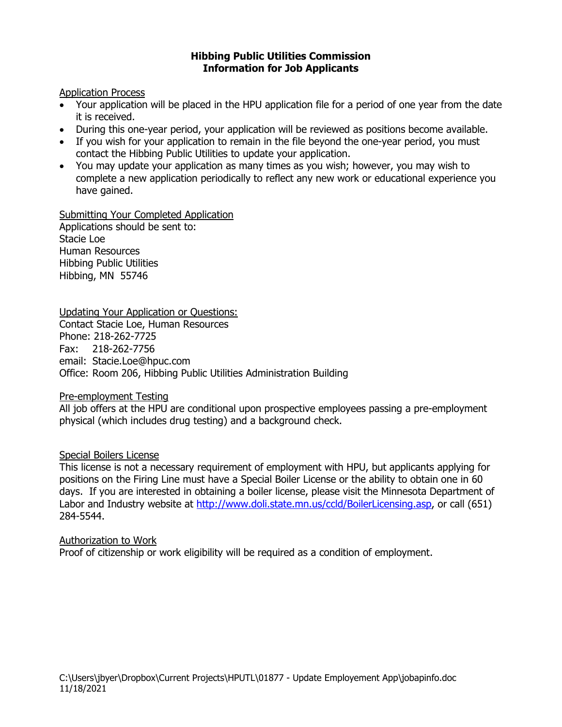# **Hibbing Public Utilities Commission Information for Job Applicants**

# Application Process

- Your application will be placed in the HPU application file for a period of one year from the date it is received.
- During this one-year period, your application will be reviewed as positions become available.
- If you wish for your application to remain in the file beyond the one-year period, you must contact the Hibbing Public Utilities to update your application.
- You may update your application as many times as you wish; however, you may wish to complete a new application periodically to reflect any new work or educational experience you have gained.

Submitting Your Completed Application Applications should be sent to: Stacie Loe Human Resources Hibbing Public Utilities Hibbing, MN 55746

# Updating Your Application or Questions:

Contact Stacie Loe, Human Resources Phone: 218-262-7725 Fax: 218-262-7756 email: Stacie.Loe@hpuc.com Office: Room 206, Hibbing Public Utilities Administration Building

Pre-employment Testing

All job offers at the HPU are conditional upon prospective employees passing a pre-employment physical (which includes drug testing) and a background check.

# Special Boilers License

This license is not a necessary requirement of employment with HPU, but applicants applying for positions on the Firing Line must have a Special Boiler License or the ability to obtain one in 60 days. If you are interested in obtaining a boiler license, please visit the Minnesota Department of Labor and Industry website at [http://www.doli.state.mn.us/ccld/BoilerLicensing.asp,](http://www.doli.state.mn.us/ccld/BoilerLicensing.asp) or call (651) 284-5544.

## Authorization to Work

Proof of citizenship or work eligibility will be required as a condition of employment.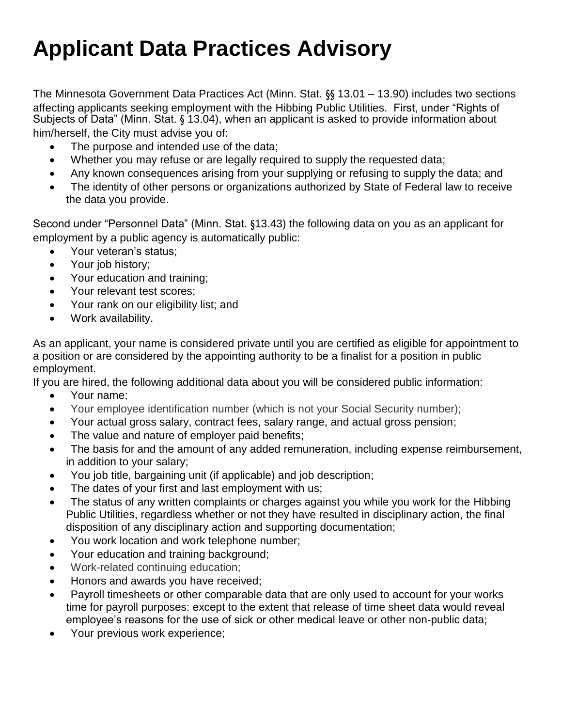# **Applicant Data Practices Advisory**

The Minnesota Government Data Practices Act (Minn. Stat. §§ 13.01 – 13.90) includes two sections affecting applicants seeking employment with the Hibbing Public Utilities. First, under "Rights of Subjects of Data" (Minn. Stat. § 13.04), when an applicant is asked to provide information about him/herself, the City must advise you of:

- The purpose and intended use of the data;
- Whether you may refuse or are legally required to supply the requested data;
- Any known consequences arising from your supplying or refusing to supply the data; and
- The identity of other persons or organizations authorized by State of Federal law to receive the data you provide.

Second under "Personnel Data" (Minn. Stat. §13.43) the following data on you as an applicant for employment by a public agency is automatically public:

- Your veteran's status;
- Your job history;
- Your education and training;
- Your relevant test scores;
- Your rank on our eligibility list; and
- Work availability.

As an applicant, your name is considered private until you are certified as eligible for appointment to a position or are considered by the appointing authority to be a finalist for a position in public employment.

If you are hired, the following additional data about you will be considered public information:

- Your name;
- Your employee identification number (which is not your Social Security number);
- Your actual gross salary, contract fees, salary range, and actual gross pension;
- The value and nature of employer paid benefits;
- The basis for and the amount of any added remuneration, including expense reimbursement, in addition to your salary;
- You job title, bargaining unit (if applicable) and job description;
- The dates of your first and last employment with us;
- The status of any written complaints or charges against you while you work for the Hibbing Public Utilities, regardless whether or not they have resulted in disciplinary action, the final disposition of any disciplinary action and supporting documentation;
- You work location and work telephone number;
- Your education and training background;
- Work-related continuing education;
- Honors and awards you have received;
- Payroll timesheets or other comparable data that are only used to account for your works time for payroll purposes: except to the extent that release of time sheet data would reveal employee's reasons for the use of sick or other medical leave or other non-public data;
- Your previous work experience;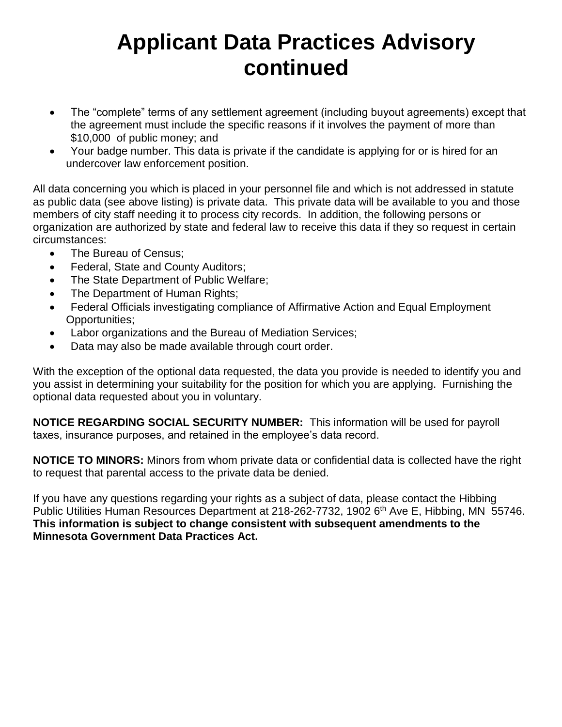# **Applicant Data Practices Advisory continued**

- The "complete" terms of any settlement agreement (including buyout agreements) except that the agreement must include the specific reasons if it involves the payment of more than \$10,000 of public money; and
- Your badge number. This data is private if the candidate is applying for or is hired for an undercover law enforcement position.

All data concerning you which is placed in your personnel file and which is not addressed in statute as public data (see above listing) is private data. This private data will be available to you and those members of city staff needing it to process city records. In addition, the following persons or organization are authorized by state and federal law to receive this data if they so request in certain circumstances:

- The Bureau of Census;
- Federal, State and County Auditors;
- The State Department of Public Welfare;
- The Department of Human Rights;
- Federal Officials investigating compliance of Affirmative Action and Equal Employment Opportunities;
- Labor organizations and the Bureau of Mediation Services;
- Data may also be made available through court order.

With the exception of the optional data requested, the data you provide is needed to identify you and you assist in determining your suitability for the position for which you are applying. Furnishing the optional data requested about you in voluntary.

**NOTICE REGARDING SOCIAL SECURITY NUMBER:** This information will be used for payroll taxes, insurance purposes, and retained in the employee's data record.

**NOTICE TO MINORS:** Minors from whom private data or confidential data is collected have the right to request that parental access to the private data be denied.

If you have any questions regarding your rights as a subject of data, please contact the Hibbing Public Utilities Human Resources Department at 218-262-7732, 1902 6th Ave E, Hibbing, MN 55746. **This information is subject to change consistent with subsequent amendments to the Minnesota Government Data Practices Act.**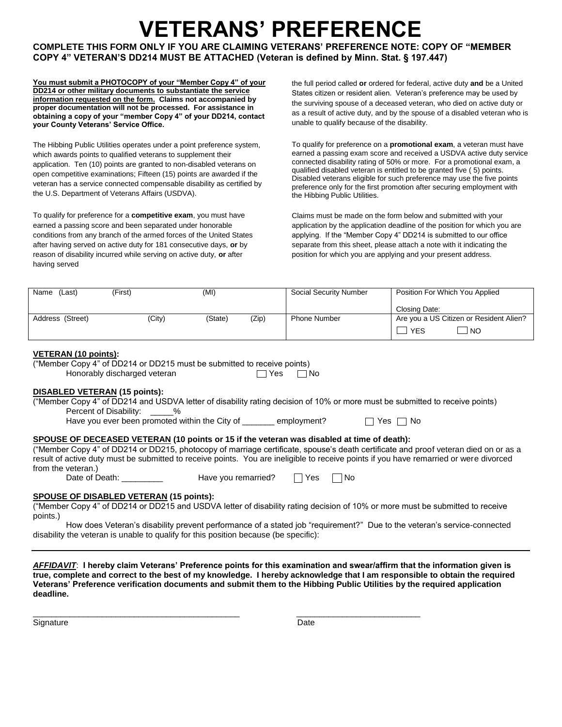# **VETERANS' PREFERENCE**

**COMPLETE THIS FORM ONLY IF YOU ARE CLAIMING VETERANS' PREFERENCE NOTE: COPY OF "MEMBER COPY 4" VETERAN'S DD214 MUST BE ATTACHED (Veteran is defined by Minn. Stat. § 197.447)**

**You must submit a PHOTOCOPY of your "Member Copy 4" of your DD214 or other military documents to substantiate the service information requested on the form. Claims not accompanied by proper documentation will not be processed. For assistance in obtaining a copy of your "member Copy 4" of your DD214, contact your County Veterans' Service Office.**

The Hibbing Public Utilities operates under a point preference system, which awards points to qualified veterans to supplement their application. Ten (10) points are granted to non-disabled veterans on open competitive examinations; Fifteen (15) points are awarded if the veteran has a service connected compensable disability as certified by the U.S. Department of Veterans Affairs (USDVA).

To qualify for preference for a **competitive exam**, you must have earned a passing score and been separated under honorable conditions from any branch of the armed forces of the United States after having served on active duty for 181 consecutive days, **or** by reason of disability incurred while serving on active duty, **or** after having served

the full period called **or** ordered for federal, active duty **and** be a United States citizen or resident alien. Veteran's preference may be used by the surviving spouse of a deceased veteran, who died on active duty or as a result of active duty, and by the spouse of a disabled veteran who is unable to qualify because of the disability.

To qualify for preference on a **promotional exam**, a veteran must have earned a passing exam score and received a USDVA active duty service connected disability rating of 50% or more. For a promotional exam, a qualified disabled veteran is entitled to be granted five ( 5) points. Disabled veterans eligible for such preference may use the five points preference only for the first promotion after securing employment with the Hibbing Public Utilities.

Claims must be made on the form below and submitted with your application by the application deadline of the position for which you are applying. If the "Member Copy 4" DD214 is submitted to our office separate from this sheet, please attach a note with it indicating the position for which you are applying and your present address.

| Name<br>(Last)   | (First) | (MI)    |       | Social Security Number | Position For Which You Applied          |
|------------------|---------|---------|-------|------------------------|-----------------------------------------|
|                  |         |         |       |                        | Closing Date:                           |
| Address (Street) | (City)  | (State) | (Zip) | <b>Phone Number</b>    | Are you a US Citizen or Resident Alien? |
|                  |         |         |       |                        | <b>YES</b><br><b>NO</b>                 |

### **VETERAN (10 points):**

("Member Copy 4" of DD214 or DD215 must be submitted to receive points) Honorably discharged veteran  $\Box$  Yes  $\Box$  No

### **DISABLED VETERAN (15 points):**

("Member Copy 4" of DD214 and USDVA letter of disability rating decision of 10% or more must be submitted to receive points) Percent of Disability: \_\_\_\_\_%

Have you ever been promoted within the City of  $\Box$  employment?  $\Box$  Yes  $\Box$  No

### **SPOUSE OF DECEASED VETERAN (10 points or 15 if the veteran was disabled at time of death):**

("Member Copy 4" of DD214 or DD215, photocopy of marriage certificate, spouse's death certificate and proof veteran died on or as a result of active duty must be submitted to receive points. You are ineligible to receive points if you have remarried or were divorced from the veteran.)

Date of Death: \_\_\_\_\_\_\_\_\_\_\_\_\_ Have you remarried

| ╭ | Yes. | No |
|---|------|----|
|   |      |    |

### **SPOUSE OF DISABLED VETERAN (15 points):**

("Member Copy 4" of DD214 or DD215 and USDVA letter of disability rating decision of 10% or more must be submitted to receive points.)

How does Veteran's disability prevent performance of a stated job "requirement?" Due to the veteran's service-connected disability the veteran is unable to qualify for this position because (be specific):

*AFFIDAVIT*: **I hereby claim Veterans' Preference points for this examination and swear/affirm that the information given is true, complete and correct to the best of my knowledge. I hereby acknowledge that I am responsible to obtain the required Veterans' Preference verification documents and submit them to the Hibbing Public Utilities by the required application deadline.**

Signature Date Date of the Date of the Date of the Date of the Date of the Date of the Date of the Date of the Date of the Date of the Date of the Date of the Date of the Date of the Date of the Date of the Date of the Dat

\_\_\_\_\_\_\_\_\_\_\_\_\_\_\_\_\_\_\_\_\_\_\_\_\_\_\_\_\_\_\_\_\_\_\_\_\_\_\_\_\_\_\_\_\_ \_\_\_\_\_\_\_\_\_\_\_\_\_\_\_\_\_\_\_\_\_\_\_\_\_\_\_